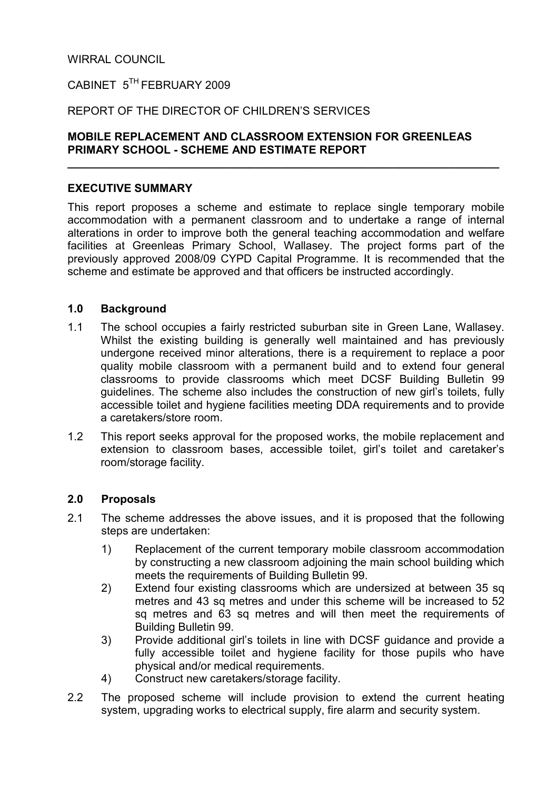## WIRRAL COUNCIL

# CABINET 5TH FEBRUARY 2009

## REPORT OF THE DIRECTOR OF CHILDREN'S SERVICES

## MOBILE REPLACEMENT AND CLASSROOM EXTENSION FOR GREENLEAS PRIMARY SCHOOL - SCHEME AND ESTIMATE REPORT

 $\overline{\phantom{a}}$  , and the contract of the contract of the contract of the contract of the contract of the contract of the contract of the contract of the contract of the contract of the contract of the contract of the contrac

#### EXECUTIVE SUMMARY

This report proposes a scheme and estimate to replace single temporary mobile accommodation with a permanent classroom and to undertake a range of internal alterations in order to improve both the general teaching accommodation and welfare facilities at Greenleas Primary School, Wallasey. The project forms part of the previously approved 2008/09 CYPD Capital Programme. It is recommended that the scheme and estimate be approved and that officers be instructed accordingly.

#### 1.0 Background

- 1.1 The school occupies a fairly restricted suburban site in Green Lane, Wallasey. Whilst the existing building is generally well maintained and has previously undergone received minor alterations, there is a requirement to replace a poor quality mobile classroom with a permanent build and to extend four general classrooms to provide classrooms which meet DCSF Building Bulletin 99 guidelines. The scheme also includes the construction of new girl's toilets, fully accessible toilet and hygiene facilities meeting DDA requirements and to provide a caretakers/store room.
- 1.2 This report seeks approval for the proposed works, the mobile replacement and extension to classroom bases, accessible toilet, girl's toilet and caretaker's room/storage facility.

#### 2.0 Proposals

- 2.1 The scheme addresses the above issues, and it is proposed that the following steps are undertaken:
	- 1) Replacement of the current temporary mobile classroom accommodation by constructing a new classroom adjoining the main school building which meets the requirements of Building Bulletin 99.
	- 2) Extend four existing classrooms which are undersized at between 35 sq metres and 43 sq metres and under this scheme will be increased to 52 sq metres and 63 sq metres and will then meet the requirements of Building Bulletin 99.
	- 3) Provide additional girl's toilets in line with DCSF guidance and provide a fully accessible toilet and hygiene facility for those pupils who have physical and/or medical requirements.
	- 4) Construct new caretakers/storage facility.
- 2.2 The proposed scheme will include provision to extend the current heating system, upgrading works to electrical supply, fire alarm and security system.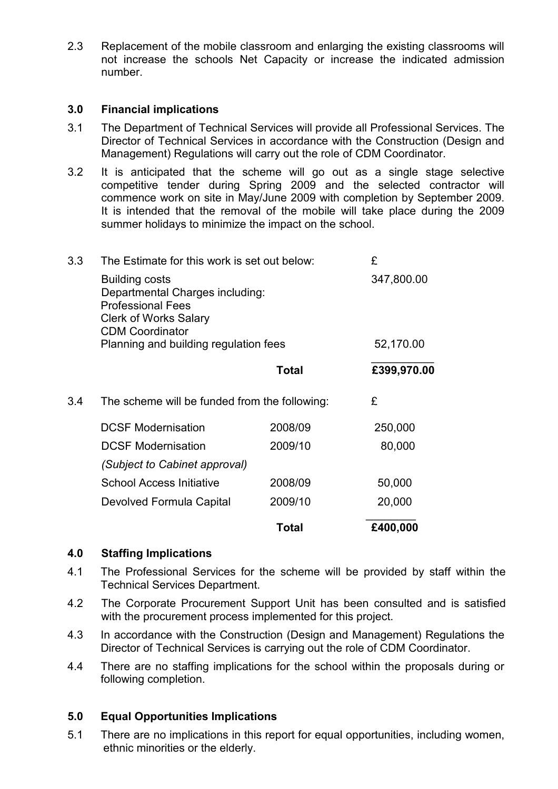2.3 Replacement of the mobile classroom and enlarging the existing classrooms will not increase the schools Net Capacity or increase the indicated admission number.

#### 3.0 Financial implications

- 3.1 The Department of Technical Services will provide all Professional Services. The Director of Technical Services in accordance with the Construction (Design and Management) Regulations will carry out the role of CDM Coordinator.
- 3.2 It is anticipated that the scheme will go out as a single stage selective competitive tender during Spring 2009 and the selected contractor will commence work on site in May/June 2009 with completion by September 2009. It is intended that the removal of the mobile will take place during the 2009 summer holidays to minimize the impact on the school.

| 3.3 | The Estimate for this work is set out below:                                                                                                                                            |              | £                       |
|-----|-----------------------------------------------------------------------------------------------------------------------------------------------------------------------------------------|--------------|-------------------------|
|     | <b>Building costs</b><br>Departmental Charges including:<br><b>Professional Fees</b><br><b>Clerk of Works Salary</b><br><b>CDM Coordinator</b><br>Planning and building regulation fees |              | 347,800.00<br>52,170.00 |
|     |                                                                                                                                                                                         | <b>Total</b> | £399,970.00             |
| 3.4 | The scheme will be funded from the following:                                                                                                                                           |              | £                       |
|     | <b>DCSF Modernisation</b>                                                                                                                                                               | 2008/09      | 250,000                 |
|     | <b>DCSF Modernisation</b>                                                                                                                                                               | 2009/10      | 80,000                  |
|     | $(0.162 \times 11.0)$                                                                                                                                                                   |              |                         |

|                                 | Total   | £400,000 |
|---------------------------------|---------|----------|
| Devolved Formula Capital        | 2009/10 | 20,000   |
| <b>School Access Initiative</b> | 2008/09 | 50,000   |
| (Subject to Cabinet approval)   |         |          |

#### 4.0 Staffing Implications

- 4.1 The Professional Services for the scheme will be provided by staff within the Technical Services Department.
- 4.2 The Corporate Procurement Support Unit has been consulted and is satisfied with the procurement process implemented for this project.
- 4.3 In accordance with the Construction (Design and Management) Regulations the Director of Technical Services is carrying out the role of CDM Coordinator.
- 4.4 There are no staffing implications for the school within the proposals during or following completion.

#### 5.0 Equal Opportunities Implications

5.1 There are no implications in this report for equal opportunities, including women, ethnic minorities or the elderly.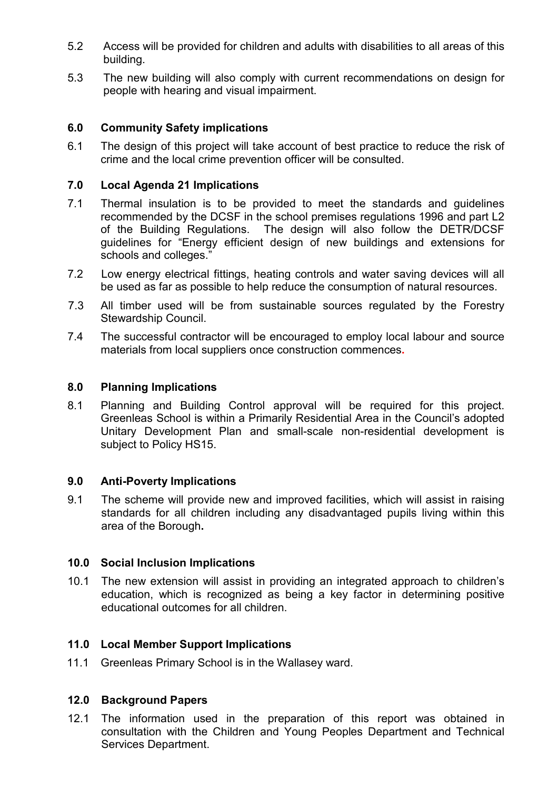- 5.2 Access will be provided for children and adults with disabilities to all areas of this building.
- 5.3 The new building will also comply with current recommendations on design for people with hearing and visual impairment.

## 6.0 Community Safety implications

6.1 The design of this project will take account of best practice to reduce the risk of crime and the local crime prevention officer will be consulted.

### 7.0 Local Agenda 21 Implications

- 7.1 Thermal insulation is to be provided to meet the standards and guidelines recommended by the DCSF in the school premises regulations 1996 and part L2 of the Building Regulations. The design will also follow the DETR/DCSF guidelines for "Energy efficient design of new buildings and extensions for schools and colleges."
- 7.2 Low energy electrical fittings, heating controls and water saving devices will all be used as far as possible to help reduce the consumption of natural resources.
- 7.3 All timber used will be from sustainable sources regulated by the Forestry Stewardship Council.
- 7.4 The successful contractor will be encouraged to employ local labour and source materials from local suppliers once construction commences.

#### 8.0 Planning Implications

8.1 Planning and Building Control approval will be required for this project. Greenleas School is within a Primarily Residential Area in the Council's adopted Unitary Development Plan and small-scale non-residential development is subject to Policy HS15.

#### 9.0 Anti-Poverty Implications

9.1 The scheme will provide new and improved facilities, which will assist in raising standards for all children including any disadvantaged pupils living within this area of the Borough.

#### 10.0 Social Inclusion Implications

10.1 The new extension will assist in providing an integrated approach to children's education, which is recognized as being a key factor in determining positive educational outcomes for all children.

#### 11.0 Local Member Support Implications

11.1 Greenleas Primary School is in the Wallasey ward.

#### 12.0 Background Papers

12.1 The information used in the preparation of this report was obtained in consultation with the Children and Young Peoples Department and Technical Services Department.